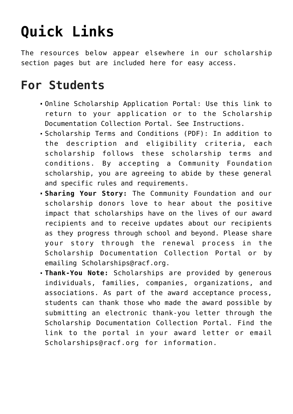## **[Quick Links](https://www.racf.org/scholarships/quick-links/)**

The resources below appear elsewhere in our scholarship section pages but are included here for easy access.

## **For Students**

- [Online Scholarship Application Portal:](https://racfscholarships.communityforce.com/Login.aspx?7861726F417A39587757633D) Use this link to return to your application or to the Scholarship Documentation Collection Portal. [See Instructions.](https://www.racf.org/wp-content/uploads/2020/05/Applying-Online-Instructions.pdf)
- [Scholarship Terms and Conditions \(PDF\)](https://www.racf.org/wp-content/uploads/2020/01/ScholarshipTerms.pdf): In addition to the description and eligibility criteria, each scholarship follows these scholarship terms and conditions. By accepting a Community Foundation scholarship, you are agreeing to abide by these general and specific rules and requirements.
- **Sharing Your Story:** The Community Foundation and our scholarship donors love to hear about the positive impact that scholarships have on the lives of our award recipients and to receive updates about our recipients as they progress through school and beyond. Please share your story through the renewal process in the Scholarship Documentation Collection Portal or by emailing [Scholarships@racf.org](mailto:scholarships@racf.org).
- **Thank-You Note:** Scholarships are provided by generous individuals, families, companies, organizations, and associations. As part of the award acceptance process, students can thank those who made the award possible by submitting an electronic thank-you letter through the Scholarship Documentation Collection Portal. Find the link to the portal in your award letter or email [Scholarships@racf.org](mailto:scholarships@racf.org) for information.